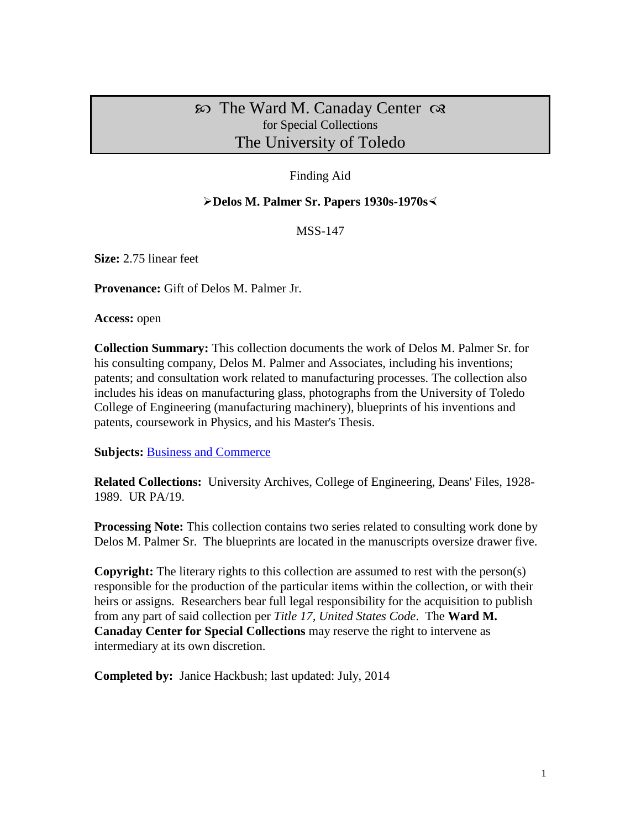## $\infty$  The Ward M. Canaday Center  $\infty$ for Special Collections The University of Toledo

## Finding Aid

#### **Delos M. Palmer Sr. Papers 1930s-1970s**

MSS-147

**Size:** 2.75 linear feet

**Provenance:** Gift of Delos M. Palmer Jr.

**Access:** open

**Collection Summary:** This collection documents the work of Delos M. Palmer Sr. for his consulting company, Delos M. Palmer and Associates, including his inventions; patents; and consultation work related to manufacturing processes. The collection also includes his ideas on manufacturing glass, photographs from the University of Toledo College of Engineering (manufacturing machinery), blueprints of his inventions and patents, coursework in Physics, and his Master's Thesis.

**Subjects:** [Business and Commerce](http://www.utoledo.edu/library/canaday/guidepages/business.html)

**Related Collections:** University Archives, College of Engineering, Deans' Files, 1928- 1989. UR PA/19.

**Processing Note:** This collection contains two series related to consulting work done by Delos M. Palmer Sr. The blueprints are located in the manuscripts oversize drawer five.

**Copyright:** The literary rights to this collection are assumed to rest with the person(s) responsible for the production of the particular items within the collection, or with their heirs or assigns. Researchers bear full legal responsibility for the acquisition to publish from any part of said collection per *Title 17, United States Code*. The **Ward M. Canaday Center for Special Collections** may reserve the right to intervene as intermediary at its own discretion.

**Completed by:** Janice Hackbush; last updated: July, 2014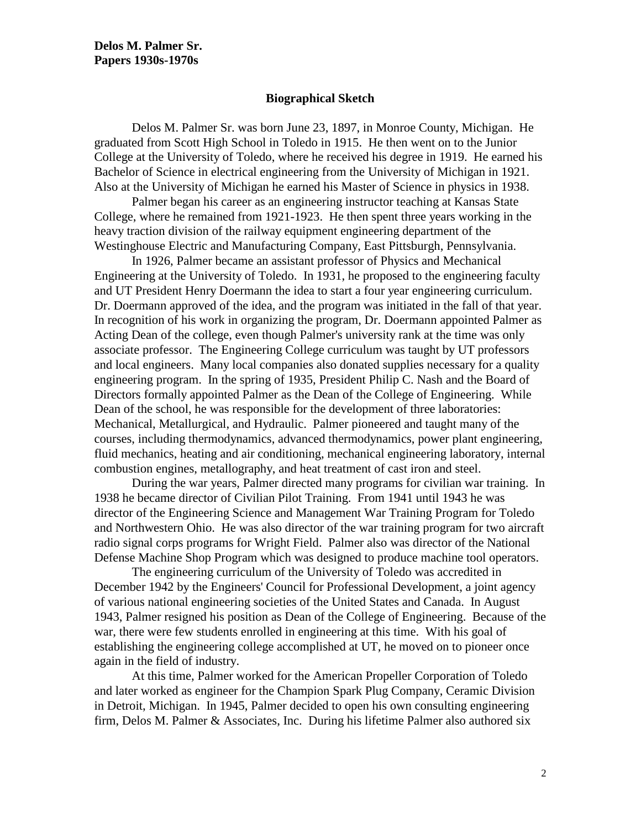#### **Biographical Sketch**

Delos M. Palmer Sr. was born June 23, 1897, in Monroe County, Michigan. He graduated from Scott High School in Toledo in 1915. He then went on to the Junior College at the University of Toledo, where he received his degree in 1919. He earned his Bachelor of Science in electrical engineering from the University of Michigan in 1921. Also at the University of Michigan he earned his Master of Science in physics in 1938.

Palmer began his career as an engineering instructor teaching at Kansas State College, where he remained from 1921-1923. He then spent three years working in the heavy traction division of the railway equipment engineering department of the Westinghouse Electric and Manufacturing Company, East Pittsburgh, Pennsylvania.

In 1926, Palmer became an assistant professor of Physics and Mechanical Engineering at the University of Toledo. In 1931, he proposed to the engineering faculty and UT President Henry Doermann the idea to start a four year engineering curriculum. Dr. Doermann approved of the idea, and the program was initiated in the fall of that year. In recognition of his work in organizing the program, Dr. Doermann appointed Palmer as Acting Dean of the college, even though Palmer's university rank at the time was only associate professor. The Engineering College curriculum was taught by UT professors and local engineers. Many local companies also donated supplies necessary for a quality engineering program. In the spring of 1935, President Philip C. Nash and the Board of Directors formally appointed Palmer as the Dean of the College of Engineering. While Dean of the school, he was responsible for the development of three laboratories: Mechanical, Metallurgical, and Hydraulic. Palmer pioneered and taught many of the courses, including thermodynamics, advanced thermodynamics, power plant engineering, fluid mechanics, heating and air conditioning, mechanical engineering laboratory, internal combustion engines, metallography, and heat treatment of cast iron and steel.

During the war years, Palmer directed many programs for civilian war training. In 1938 he became director of Civilian Pilot Training. From 1941 until 1943 he was director of the Engineering Science and Management War Training Program for Toledo and Northwestern Ohio. He was also director of the war training program for two aircraft radio signal corps programs for Wright Field. Palmer also was director of the National Defense Machine Shop Program which was designed to produce machine tool operators.

The engineering curriculum of the University of Toledo was accredited in December 1942 by the Engineers' Council for Professional Development, a joint agency of various national engineering societies of the United States and Canada. In August 1943, Palmer resigned his position as Dean of the College of Engineering. Because of the war, there were few students enrolled in engineering at this time. With his goal of establishing the engineering college accomplished at UT, he moved on to pioneer once again in the field of industry.

At this time, Palmer worked for the American Propeller Corporation of Toledo and later worked as engineer for the Champion Spark Plug Company, Ceramic Division in Detroit, Michigan. In 1945, Palmer decided to open his own consulting engineering firm, Delos M. Palmer & Associates, Inc. During his lifetime Palmer also authored six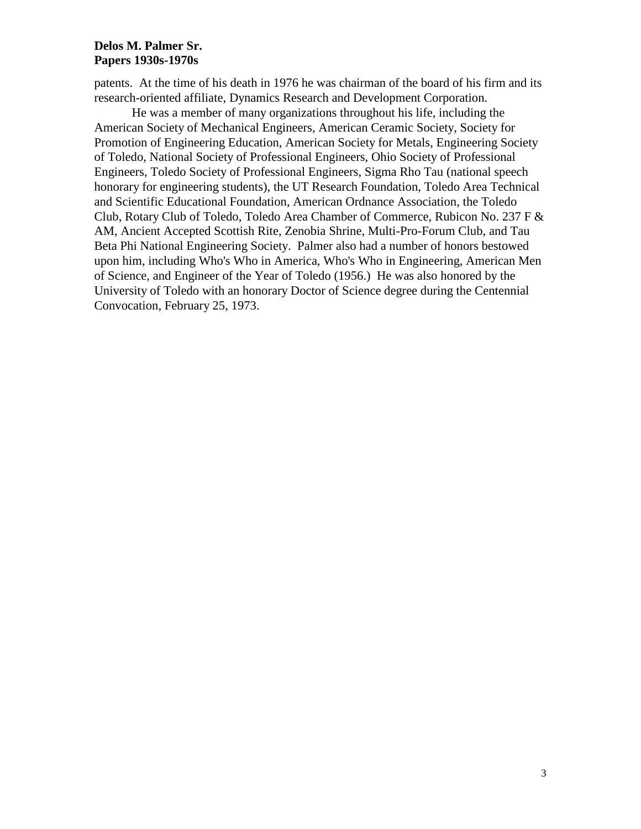### **Delos M. Palmer Sr. Papers 1930s-1970s**

patents. At the time of his death in 1976 he was chairman of the board of his firm and its research-oriented affiliate, Dynamics Research and Development Corporation.

He was a member of many organizations throughout his life, including the American Society of Mechanical Engineers, American Ceramic Society, Society for Promotion of Engineering Education, American Society for Metals, Engineering Society of Toledo, National Society of Professional Engineers, Ohio Society of Professional Engineers, Toledo Society of Professional Engineers, Sigma Rho Tau (national speech honorary for engineering students), the UT Research Foundation, Toledo Area Technical and Scientific Educational Foundation, American Ordnance Association, the Toledo Club, Rotary Club of Toledo, Toledo Area Chamber of Commerce, Rubicon No. 237 F & AM, Ancient Accepted Scottish Rite, Zenobia Shrine, Multi-Pro-Forum Club, and Tau Beta Phi National Engineering Society. Palmer also had a number of honors bestowed upon him, including Who's Who in America, Who's Who in Engineering, American Men of Science, and Engineer of the Year of Toledo (1956.) He was also honored by the University of Toledo with an honorary Doctor of Science degree during the Centennial Convocation, February 25, 1973.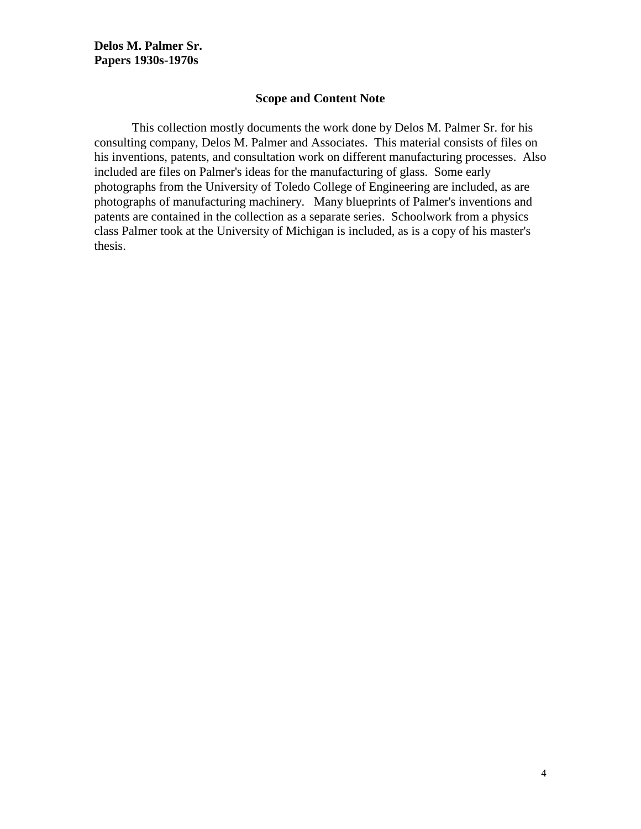#### **Scope and Content Note**

This collection mostly documents the work done by Delos M. Palmer Sr. for his consulting company, Delos M. Palmer and Associates. This material consists of files on his inventions, patents, and consultation work on different manufacturing processes. Also included are files on Palmer's ideas for the manufacturing of glass. Some early photographs from the University of Toledo College of Engineering are included, as are photographs of manufacturing machinery. Many blueprints of Palmer's inventions and patents are contained in the collection as a separate series. Schoolwork from a physics class Palmer took at the University of Michigan is included, as is a copy of his master's thesis.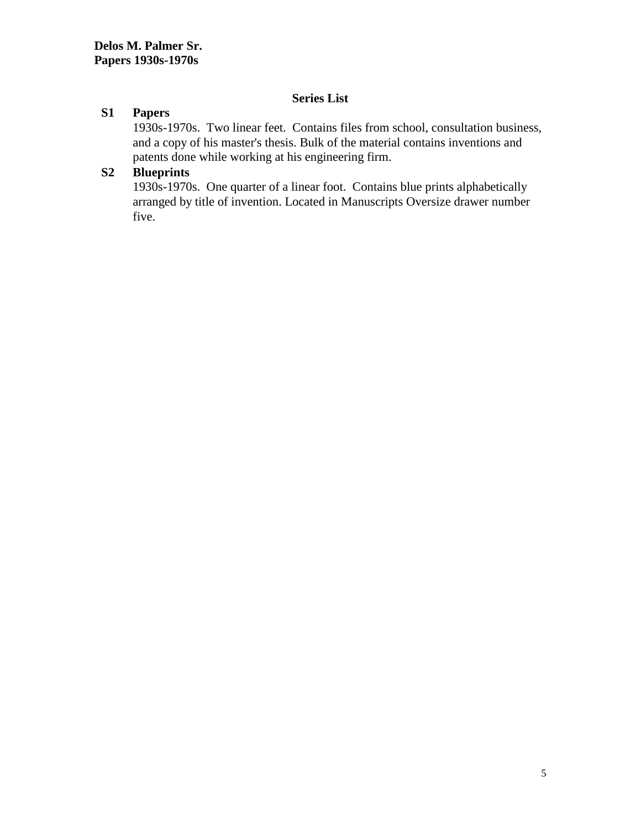## **Series List**

## **S1 Papers**

1930s-1970s. Two linear feet. Contains files from school, consultation business, and a copy of his master's thesis. Bulk of the material contains inventions and patents done while working at his engineering firm.

## **S2 Blueprints**

1930s-1970s. One quarter of a linear foot. Contains blue prints alphabetically arranged by title of invention. Located in Manuscripts Oversize drawer number five.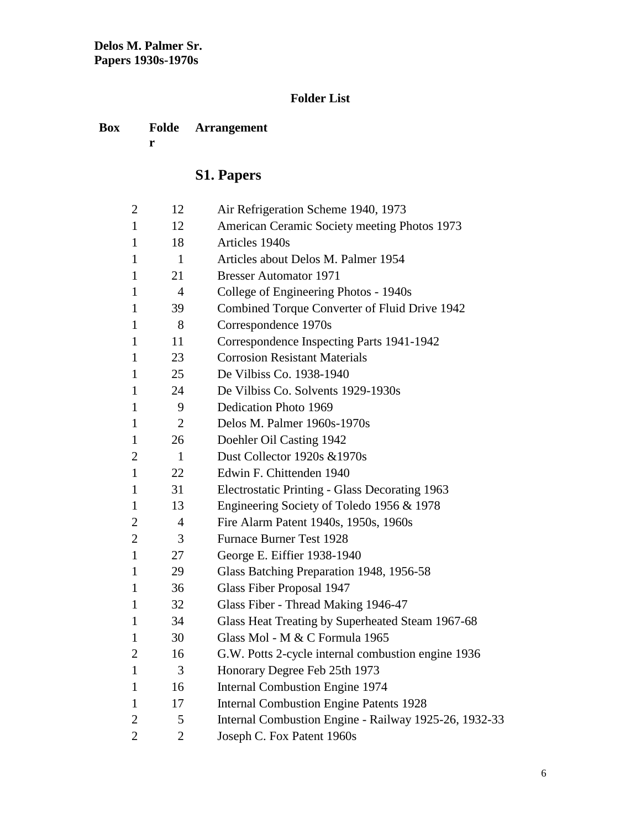## **Folder List**

#### **Box Folde Arrangement**

**r**

# **S1. Papers**

| $\overline{2}$ | 12             | Air Refrigeration Scheme 1940, 1973                   |
|----------------|----------------|-------------------------------------------------------|
| $\mathbf{1}$   | 12             | American Ceramic Society meeting Photos 1973          |
| $\mathbf{1}$   | 18             | Articles 1940s                                        |
| $\mathbf{1}$   | 1              | Articles about Delos M. Palmer 1954                   |
| $\mathbf{1}$   | 21             | <b>Bresser Automator 1971</b>                         |
| 1              | $\overline{4}$ | College of Engineering Photos - 1940s                 |
| 1              | 39             | Combined Torque Converter of Fluid Drive 1942         |
| $\mathbf{1}$   | 8              | Correspondence 1970s                                  |
| $\mathbf{1}$   | 11             | Correspondence Inspecting Parts 1941-1942             |
| $\mathbf{1}$   | 23             | <b>Corrosion Resistant Materials</b>                  |
| 1              | 25             | De Vilbiss Co. 1938-1940                              |
| $\mathbf{1}$   | 24             | De Vilbiss Co. Solvents 1929-1930s                    |
| $\mathbf{1}$   | 9              | Dedication Photo 1969                                 |
| $\mathbf{1}$   | $\overline{2}$ | Delos M. Palmer 1960s-1970s                           |
| $\mathbf{1}$   | 26             | Doehler Oil Casting 1942                              |
| $\mathbf{2}$   | $\mathbf{1}$   | Dust Collector 1920s & 1970s                          |
| $\mathbf{1}$   | 22             | Edwin F. Chittenden 1940                              |
| 1              | 31             | Electrostatic Printing - Glass Decorating 1963        |
| $\mathbf{1}$   | 13             | Engineering Society of Toledo 1956 & 1978             |
| $\overline{2}$ | 4              | Fire Alarm Patent 1940s, 1950s, 1960s                 |
| $\overline{c}$ | 3              | <b>Furnace Burner Test 1928</b>                       |
| $\mathbf{1}$   | 27             | George E. Eiffier 1938-1940                           |
| $\mathbf{1}$   | 29             | Glass Batching Preparation 1948, 1956-58              |
| $\mathbf{1}$   | 36             | Glass Fiber Proposal 1947                             |
| $\mathbf{1}$   | 32             | Glass Fiber - Thread Making 1946-47                   |
| $\mathbf{1}$   | 34             | Glass Heat Treating by Superheated Steam 1967-68      |
| 1              | 30             | Glass Mol - M & C Formula 1965                        |
| $\overline{2}$ | 16             | G.W. Potts 2-cycle internal combustion engine 1936    |
| $\mathbf{1}$   | 3              | Honorary Degree Feb 25th 1973                         |
| $\mathbf{1}$   | 16             | <b>Internal Combustion Engine 1974</b>                |
| 1              | 17             | <b>Internal Combustion Engine Patents 1928</b>        |
| $\overline{2}$ | 5              | Internal Combustion Engine - Railway 1925-26, 1932-33 |
| $\overline{2}$ | $\overline{2}$ | Joseph C. Fox Patent 1960s                            |